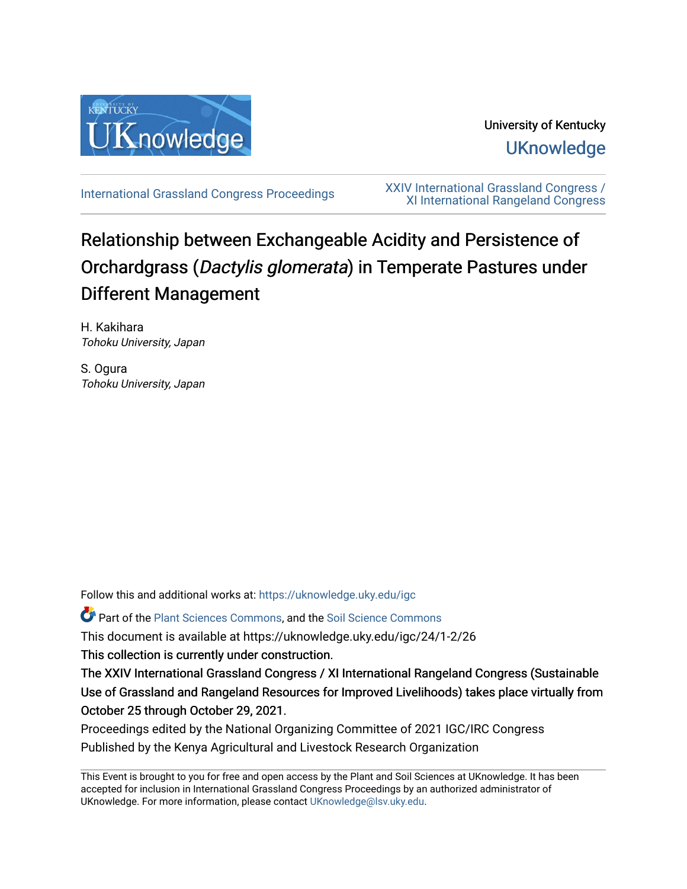

University of Kentucky **UKnowledge** 

[International Grassland Congress Proceedings](https://uknowledge.uky.edu/igc) [XXIV International Grassland Congress /](https://uknowledge.uky.edu/igc/24)  [XI International Rangeland Congress](https://uknowledge.uky.edu/igc/24) 

# Relationship between Exchangeable Acidity and Persistence of Orchardgrass (Dactylis glomerata) in Temperate Pastures under Different Management

H. Kakihara Tohoku University, Japan

S. Ogura Tohoku University, Japan

Follow this and additional works at: [https://uknowledge.uky.edu/igc](https://uknowledge.uky.edu/igc?utm_source=uknowledge.uky.edu%2Figc%2F24%2F1-2%2F26&utm_medium=PDF&utm_campaign=PDFCoverPages) 

Part of the [Plant Sciences Commons](http://network.bepress.com/hgg/discipline/102?utm_source=uknowledge.uky.edu%2Figc%2F24%2F1-2%2F26&utm_medium=PDF&utm_campaign=PDFCoverPages), and the [Soil Science Commons](http://network.bepress.com/hgg/discipline/163?utm_source=uknowledge.uky.edu%2Figc%2F24%2F1-2%2F26&utm_medium=PDF&utm_campaign=PDFCoverPages) 

This document is available at https://uknowledge.uky.edu/igc/24/1-2/26

This collection is currently under construction.

The XXIV International Grassland Congress / XI International Rangeland Congress (Sustainable Use of Grassland and Rangeland Resources for Improved Livelihoods) takes place virtually from October 25 through October 29, 2021.

Proceedings edited by the National Organizing Committee of 2021 IGC/IRC Congress Published by the Kenya Agricultural and Livestock Research Organization

This Event is brought to you for free and open access by the Plant and Soil Sciences at UKnowledge. It has been accepted for inclusion in International Grassland Congress Proceedings by an authorized administrator of UKnowledge. For more information, please contact [UKnowledge@lsv.uky.edu](mailto:UKnowledge@lsv.uky.edu).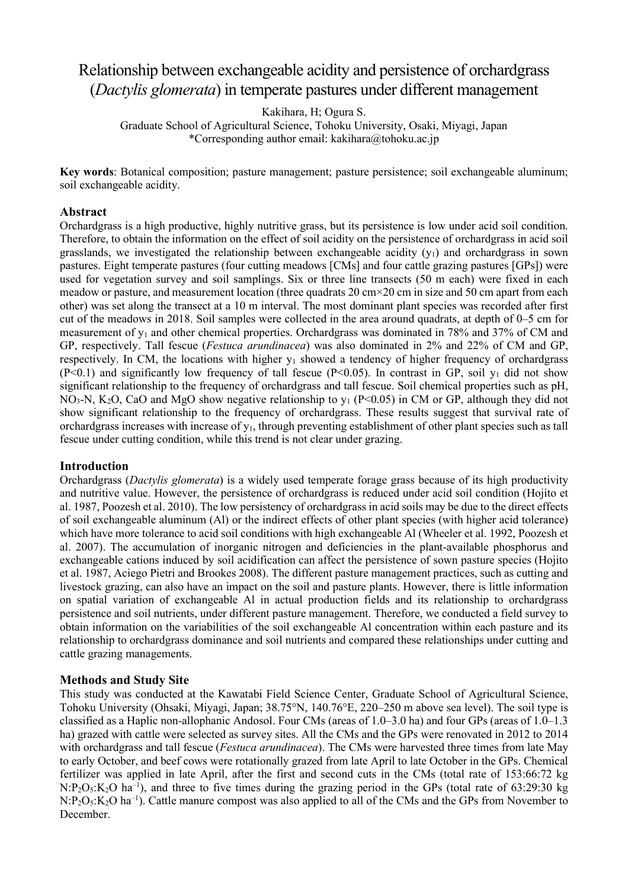# Relationship between exchangeable acidity and persistence of orchardgrass (*Dactylis glomerata*) in temperate pastures under different management

Kakihara, H; Ogura S.

Graduate School of Agricultural Science, Tohoku University, Osaki, Miyagi, Japan \*Corresponding author email: kakihara@tohoku.ac.jp

**Key words**: Botanical composition; pasture management; pasture persistence; soil exchangeable aluminum; soil exchangeable acidity.

#### **Abstract**

Orchardgrass is a high productive, highly nutritive grass, but its persistence is low under acid soil condition. Therefore, to obtain the information on the effect of soil acidity on the persistence of orchardgrass in acid soil grasslands, we investigated the relationship between exchangeable acidity  $(y_1)$  and orchardgrass in sown pastures. Eight temperate pastures (four cutting meadows [CMs] and four cattle grazing pastures [GPs]) were used for vegetation survey and soil samplings. Six or three line transects (50 m each) were fixed in each meadow or pasture, and measurement location (three quadrats 20 cm×20 cm in size and 50 cm apart from each other) was set along the transect at a 10 m interval. The most dominant plant species was recorded after first cut of the meadows in 2018. Soil samples were collected in the area around quadrats, at depth of 0–5 cm for measurement of  $y_1$  and other chemical properties. Orchardgrass was dominated in 78% and 37% of CM and GP, respectively. Tall fescue (*Festuca arundinacea*) was also dominated in 2% and 22% of CM and GP, respectively. In CM, the locations with higher  $y_1$  showed a tendency of higher frequency of orchardgrass (P<0.1) and significantly low frequency of tall fescue (P<0.05). In contrast in GP, soil  $y_1$  did not show significant relationship to the frequency of orchardgrass and tall fescue. Soil chemical properties such as pH, NO<sub>3</sub>-N, K<sub>2</sub>O, CaO and MgO show negative relationship to  $y_1$  (P<0.05) in CM or GP, although they did not show significant relationship to the frequency of orchardgrass. These results suggest that survival rate of orchardgrass increases with increase of  $y_1$ , through preventing establishment of other plant species such as tall fescue under cutting condition, while this trend is not clear under grazing.

#### **Introduction**

Orchardgrass (*Dactylis glomerata*) is a widely used temperate forage grass because of its high productivity and nutritive value. However, the persistence of orchardgrass is reduced under acid soil condition (Hojito et al. 1987, Poozesh et al. 2010). The low persistency of orchardgrass in acid soils may be due to the direct effects of soil exchangeable aluminum (Al) or the indirect effects of other plant species (with higher acid tolerance) which have more tolerance to acid soil conditions with high exchangeable Al (Wheeler et al. 1992, Poozesh et al. 2007). The accumulation of inorganic nitrogen and deficiencies in the plant-available phosphorus and exchangeable cations induced by soil acidification can affect the persistence of sown pasture species (Hojito et al. 1987, Aciego Pietri and Brookes 2008). The different pasture management practices, such as cutting and livestock grazing, can also have an impact on the soil and pasture plants. However, there is little information on spatial variation of exchangeable Al in actual production fields and its relationship to orchardgrass persistence and soil nutrients, under different pasture management. Therefore, we conducted a field survey to obtain information on the variabilities of the soil exchangeable Al concentration within each pasture and its relationship to orchardgrass dominance and soil nutrients and compared these relationships under cutting and cattle grazing managements.

#### **Methods and Study Site**

This study was conducted at the Kawatabi Field Science Center, Graduate School of Agricultural Science, Tohoku University (Ohsaki, Miyagi, Japan; 38.75°N, 140.76°E, 220–250 m above sea level). The soil type is classified as a Haplic non-allophanic Andosol. Four CMs (areas of 1.0–3.0 ha) and four GPs (areas of 1.0–1.3 ha) grazed with cattle were selected as survey sites. All the CMs and the GPs were renovated in 2012 to 2014 with orchardgrass and tall fescue (*Festuca arundinacea*). The CMs were harvested three times from late May to early October, and beef cows were rotationally grazed from late April to late October in the GPs. Chemical fertilizer was applied in late April, after the first and second cuts in the CMs (total rate of 153:66:72 kg  $N: P_2O_5: K_2O$  ha<sup>-1</sup>), and three to five times during the grazing period in the GPs (total rate of 63:29:30 kg  $N: P_2O_5: K_2O$  ha<sup>-1</sup>). Cattle manure compost was also applied to all of the CMs and the GPs from November to December.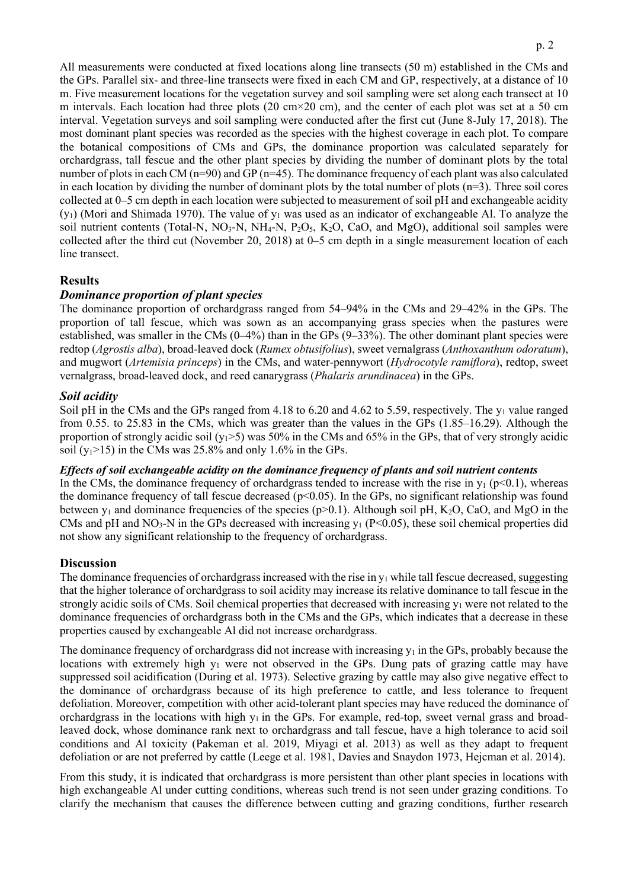All measurements were conducted at fixed locations along line transects (50 m) established in the CMs and the GPs. Parallel six- and three-line transects were fixed in each CM and GP, respectively, at a distance of 10 m. Five measurement locations for the vegetation survey and soil sampling were set along each transect at 10 m intervals. Each location had three plots (20 cm $\times$ 20 cm), and the center of each plot was set at a 50 cm interval. Vegetation surveys and soil sampling were conducted after the first cut (June 8-July 17, 2018). The most dominant plant species was recorded as the species with the highest coverage in each plot. To compare the botanical compositions of CMs and GPs, the dominance proportion was calculated separately for orchardgrass, tall fescue and the other plant species by dividing the number of dominant plots by the total number of plots in each CM (n=90) and GP (n=45). The dominance frequency of each plant was also calculated in each location by dividing the number of dominant plots by the total number of plots  $(n=3)$ . Three soil cores collected at 0–5 cm depth in each location were subjected to measurement of soil pH and exchangeable acidity  $(y_1)$  (Mori and Shimada 1970). The value of  $y_1$  was used as an indicator of exchangeable Al. To analyze the soil nutrient contents (Total-N, NO<sub>3</sub>-N, NH<sub>4</sub>-N, P<sub>2</sub>O<sub>5</sub>, K<sub>2</sub>O, CaO, and MgO), additional soil samples were collected after the third cut (November 20, 2018) at 0–5 cm depth in a single measurement location of each line transect.

# **Results**

# *Dominance proportion of plant species*

The dominance proportion of orchardgrass ranged from 54–94% in the CMs and 29–42% in the GPs. The proportion of tall fescue, which was sown as an accompanying grass species when the pastures were established, was smaller in the CMs (0–4%) than in the GPs (9–33%). The other dominant plant species were redtop (*Agrostis alba*), broad-leaved dock (*Rumex obtusifolius*), sweet vernalgrass (*Anthoxanthum odoratum*), and mugwort (*Artemisia princeps*) in the CMs, and water-pennywort (*Hydrocotyle ramiflora*), redtop, sweet vernalgrass, broad-leaved dock, and reed canarygrass (*Phalaris arundinacea*) in the GPs.

# *Soil acidity*

Soil pH in the CMs and the GPs ranged from 4.18 to 6.20 and 4.62 to 5.59, respectively. The y<sub>1</sub> value ranged from 0.55. to 25.83 in the CMs, which was greater than the values in the GPs (1.85–16.29). Although the proportion of strongly acidic soil ( $y_1$ >5) was 50% in the CMs and 65% in the GPs, that of very strongly acidic soil  $(y_1>15)$  in the CMs was 25.8% and only 1.6% in the GPs.

#### *Effects of soil exchangeable acidity on the dominance frequency of plants and soil nutrient contents*

In the CMs, the dominance frequency of orchardgrass tended to increase with the rise in  $y_1$  (p<0.1), whereas the dominance frequency of tall fescue decreased ( $p<0.05$ ). In the GPs, no significant relationship was found between  $y_1$  and dominance frequencies of the species (p>0.1). Although soil pH, K<sub>2</sub>O, CaO, and MgO in the CMs and pH and  $NO<sub>3</sub>-N$  in the GPs decreased with increasing  $y_1$  (P<0.05), these soil chemical properties did not show any significant relationship to the frequency of orchardgrass.

#### **Discussion**

The dominance frequencies of orchardgrass increased with the rise in  $y_1$  while tall fescue decreased, suggesting that the higher tolerance of orchardgrass to soil acidity may increase its relative dominance to tall fescue in the strongly acidic soils of CMs. Soil chemical properties that decreased with increasing  $y_1$  were not related to the dominance frequencies of orchardgrass both in the CMs and the GPs, which indicates that a decrease in these properties caused by exchangeable Al did not increase orchardgrass.

The dominance frequency of orchardgrass did not increase with increasing  $y_1$  in the GPs, probably because the locations with extremely high  $y_1$  were not observed in the GPs. Dung pats of grazing cattle may have suppressed soil acidification (During et al. 1973). Selective grazing by cattle may also give negative effect to the dominance of orchardgrass because of its high preference to cattle, and less tolerance to frequent defoliation. Moreover, competition with other acid-tolerant plant species may have reduced the dominance of orchardgrass in the locations with high  $y_1$  in the GPs. For example, red-top, sweet vernal grass and broadleaved dock, whose dominance rank next to orchardgrass and tall fescue, have a high tolerance to acid soil conditions and Al toxicity (Pakeman et al. 2019, Miyagi et al. 2013) as well as they adapt to frequent defoliation or are not preferred by cattle (Leege et al. 1981, Davies and Snaydon 1973, Hejcman et al. 2014).

From this study, it is indicated that orchardgrass is more persistent than other plant species in locations with high exchangeable Al under cutting conditions, whereas such trend is not seen under grazing conditions. To clarify the mechanism that causes the difference between cutting and grazing conditions, further research